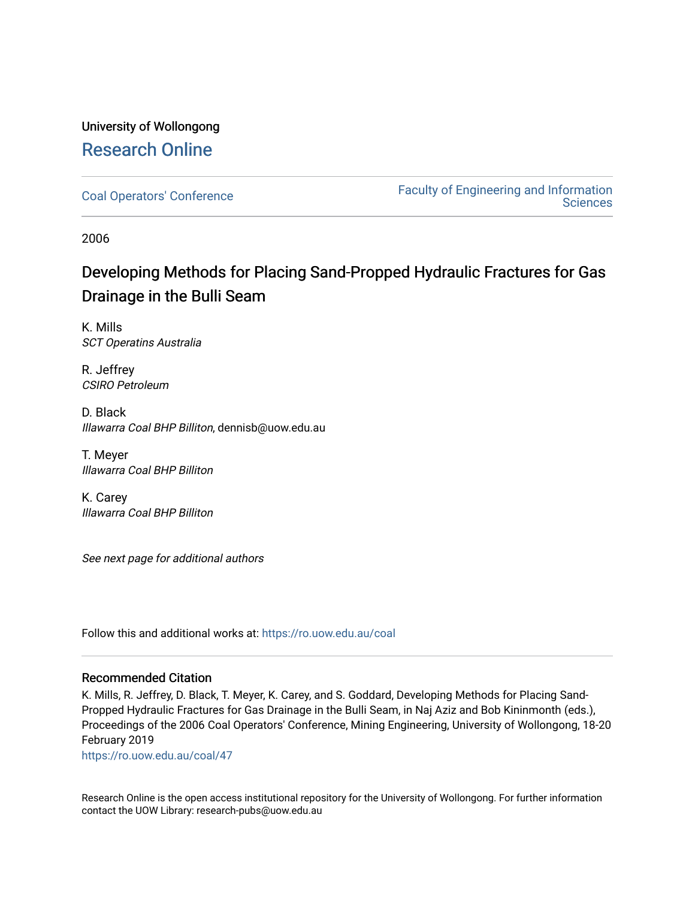# University of Wollongong [Research Online](https://ro.uow.edu.au/)

[Coal Operators' Conference](https://ro.uow.edu.au/coal) [Faculty of Engineering and Information](https://ro.uow.edu.au/eis)  **Sciences** 

2006

# Developing Methods for Placing Sand-Propped Hydraulic Fractures for Gas Drainage in the Bulli Seam

K. Mills SCT Operatins Australia

R. Jeffrey CSIRO Petroleum

D. Black Illawarra Coal BHP Billiton, dennisb@uow.edu.au

T. Meyer Illawarra Coal BHP Billiton

K. Carey Illawarra Coal BHP Billiton

See next page for additional authors

Follow this and additional works at: [https://ro.uow.edu.au/coal](https://ro.uow.edu.au/coal?utm_source=ro.uow.edu.au%2Fcoal%2F47&utm_medium=PDF&utm_campaign=PDFCoverPages) 

### Recommended Citation

K. Mills, R. Jeffrey, D. Black, T. Meyer, K. Carey, and S. Goddard, Developing Methods for Placing Sand-Propped Hydraulic Fractures for Gas Drainage in the Bulli Seam, in Naj Aziz and Bob Kininmonth (eds.), Proceedings of the 2006 Coal Operators' Conference, Mining Engineering, University of Wollongong, 18-20 February 2019

[https://ro.uow.edu.au/coal/47](https://ro.uow.edu.au/coal/47?utm_source=ro.uow.edu.au%2Fcoal%2F47&utm_medium=PDF&utm_campaign=PDFCoverPages) 

Research Online is the open access institutional repository for the University of Wollongong. For further information contact the UOW Library: research-pubs@uow.edu.au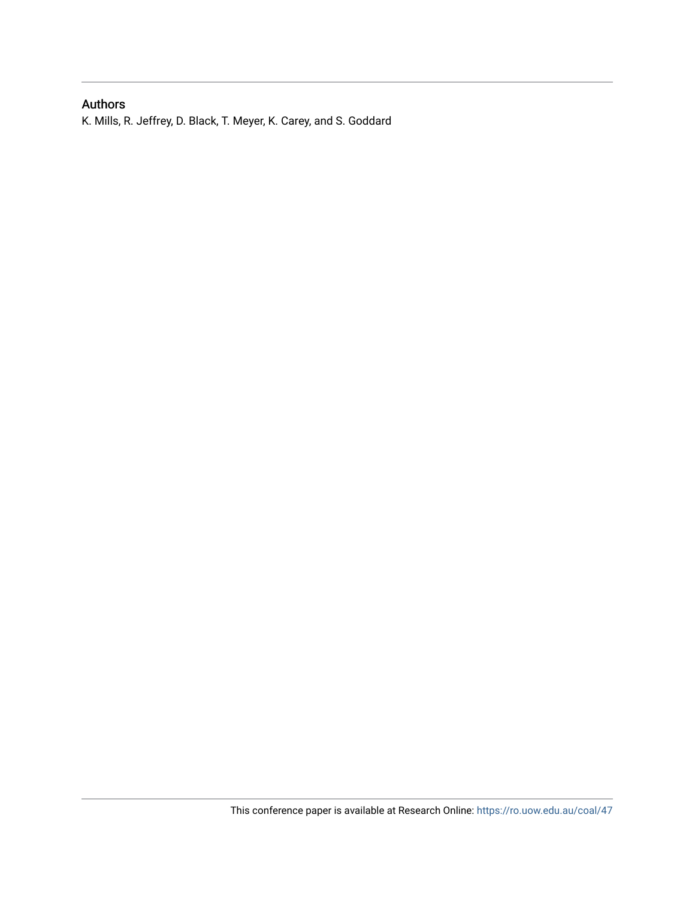## Authors

K. Mills, R. Jeffrey, D. Black, T. Meyer, K. Carey, and S. Goddard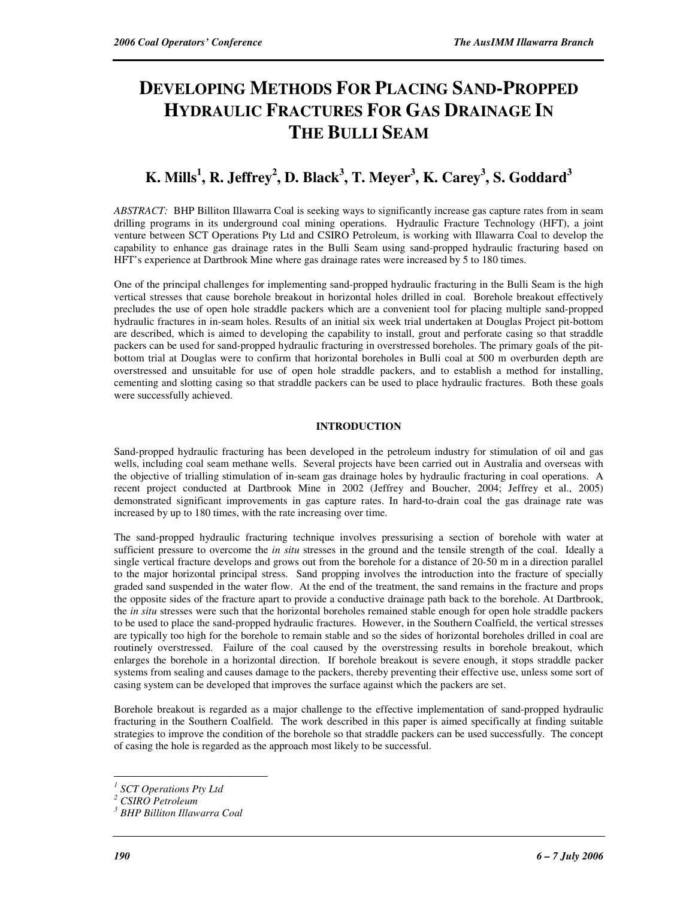# **DEVELOPING METHODS FOR PLACING SAND-PROPPED HYDRAULIC FRACTURES FOR GAS DRAINAGE IN THE BULLI SEAM**

# **K. Mills<sup>1</sup> , R. Jeffrey<sup>2</sup> , D. Black<sup>3</sup> , T. Meyer<sup>3</sup> , K. Carey<sup>3</sup> , S. Goddard<sup>3</sup>**

*ABSTRACT:* BHP Billiton Illawarra Coal is seeking ways to significantly increase gas capture rates from in seam drilling programs in its underground coal mining operations. Hydraulic Fracture Technology (HFT), a joint venture between SCT Operations Pty Ltd and CSIRO Petroleum, is working with Illawarra Coal to develop the capability to enhance gas drainage rates in the Bulli Seam using sand-propped hydraulic fracturing based on HFT's experience at Dartbrook Mine where gas drainage rates were increased by 5 to 180 times.

One of the principal challenges for implementing sand-propped hydraulic fracturing in the Bulli Seam is the high vertical stresses that cause borehole breakout in horizontal holes drilled in coal. Borehole breakout effectively precludes the use of open hole straddle packers which are a convenient tool for placing multiple sand-propped hydraulic fractures in in-seam holes. Results of an initial six week trial undertaken at Douglas Project pit-bottom are described, which is aimed to developing the capability to install, grout and perforate casing so that straddle packers can be used for sand-propped hydraulic fracturing in overstressed boreholes. The primary goals of the pitbottom trial at Douglas were to confirm that horizontal boreholes in Bulli coal at 500 m overburden depth are overstressed and unsuitable for use of open hole straddle packers, and to establish a method for installing, cementing and slotting casing so that straddle packers can be used to place hydraulic fractures. Both these goals were successfully achieved.

### **INTRODUCTION**

Sand-propped hydraulic fracturing has been developed in the petroleum industry for stimulation of oil and gas wells, including coal seam methane wells. Several projects have been carried out in Australia and overseas with the objective of trialling stimulation of in-seam gas drainage holes by hydraulic fracturing in coal operations. A recent project conducted at Dartbrook Mine in 2002 (Jeffrey and Boucher, 2004; Jeffrey et al., 2005) demonstrated significant improvements in gas capture rates. In hard-to-drain coal the gas drainage rate was increased by up to 180 times, with the rate increasing over time.

The sand-propped hydraulic fracturing technique involves pressurising a section of borehole with water at sufficient pressure to overcome the *in situ* stresses in the ground and the tensile strength of the coal. Ideally a single vertical fracture develops and grows out from the borehole for a distance of 20-50 m in a direction parallel to the major horizontal principal stress. Sand propping involves the introduction into the fracture of specially graded sand suspended in the water flow. At the end of the treatment, the sand remains in the fracture and props the opposite sides of the fracture apart to provide a conductive drainage path back to the borehole. At Dartbrook, the *in situ* stresses were such that the horizontal boreholes remained stable enough for open hole straddle packers to be used to place the sand-propped hydraulic fractures. However, in the Southern Coalfield, the vertical stresses are typically too high for the borehole to remain stable and so the sides of horizontal boreholes drilled in coal are routinely overstressed. Failure of the coal caused by the overstressing results in borehole breakout, which enlarges the borehole in a horizontal direction. If borehole breakout is severe enough, it stops straddle packer systems from sealing and causes damage to the packers, thereby preventing their effective use, unless some sort of casing system can be developed that improves the surface against which the packers are set.

Borehole breakout is regarded as a major challenge to the effective implementation of sand-propped hydraulic fracturing in the Southern Coalfield. The work described in this paper is aimed specifically at finding suitable strategies to improve the condition of the borehole so that straddle packers can be used successfully. The concept of casing the hole is regarded as the approach most likely to be successful.

 $\overline{a}$ *1 SCT Operations Pty Ltd* 

*<sup>2</sup> CSIRO Petroleum* 

*<sup>3</sup> BHP Billiton Illawarra Coal*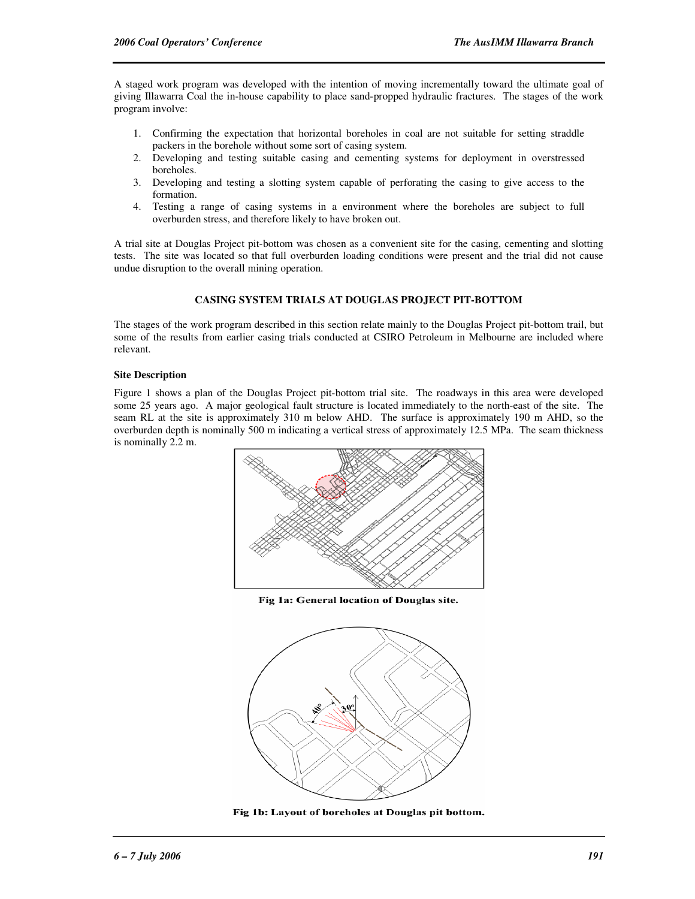A staged work program was developed with the intention of moving incrementally toward the ultimate goal of giving Illawarra Coal the in-house capability to place sand-propped hydraulic fractures. The stages of the work program involve:

- 1. Confirming the expectation that horizontal boreholes in coal are not suitable for setting straddle packers in the borehole without some sort of casing system.
- 2. Developing and testing suitable casing and cementing systems for deployment in overstressed boreholes.
- 3. Developing and testing a slotting system capable of perforating the casing to give access to the formation.
- 4. Testing a range of casing systems in a environment where the boreholes are subject to full overburden stress, and therefore likely to have broken out.

A trial site at Douglas Project pit-bottom was chosen as a convenient site for the casing, cementing and slotting tests. The site was located so that full overburden loading conditions were present and the trial did not cause undue disruption to the overall mining operation.

### **CASING SYSTEM TRIALS AT DOUGLAS PROJECT PIT-BOTTOM**

The stages of the work program described in this section relate mainly to the Douglas Project pit-bottom trail, but some of the results from earlier casing trials conducted at CSIRO Petroleum in Melbourne are included where relevant.

#### **Site Description**

Figure 1 shows a plan of the Douglas Project pit-bottom trial site. The roadways in this area were developed some 25 years ago. A major geological fault structure is located immediately to the north-east of the site. The seam RL at the site is approximately 310 m below AHD. The surface is approximately 190 m AHD, so the overburden depth is nominally 500 m indicating a vertical stress of approximately 12.5 MPa. The seam thickness is nominally 2.2 m.







Fig 1b: Layout of boreholes at Douglas pit bottom.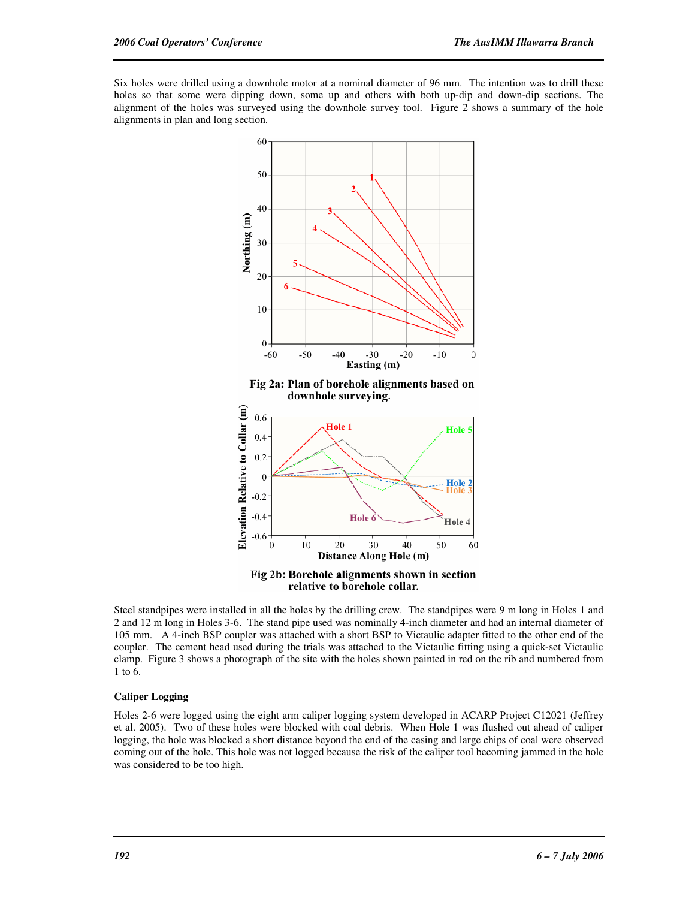Six holes were drilled using a downhole motor at a nominal diameter of 96 mm. The intention was to drill these holes so that some were dipping down, some up and others with both up-dip and down-dip sections. The alignment of the holes was surveyed using the downhole survey tool. Figure 2 shows a summary of the hole alignments in plan and long section.



Steel standpipes were installed in all the holes by the drilling crew. The standpipes were 9 m long in Holes 1 and 2 and 12 m long in Holes 3-6. The stand pipe used was nominally 4-inch diameter and had an internal diameter of 105 mm. A 4-inch BSP coupler was attached with a short BSP to Victaulic adapter fitted to the other end of the coupler. The cement head used during the trials was attached to the Victaulic fitting using a quick-set Victaulic clamp. Figure 3 shows a photograph of the site with the holes shown painted in red on the rib and numbered from 1 to 6.

#### **Caliper Logging**

Holes 2-6 were logged using the eight arm caliper logging system developed in ACARP Project C12021 (Jeffrey et al. 2005). Two of these holes were blocked with coal debris. When Hole 1 was flushed out ahead of caliper logging, the hole was blocked a short distance beyond the end of the casing and large chips of coal were observed coming out of the hole. This hole was not logged because the risk of the caliper tool becoming jammed in the hole was considered to be too high.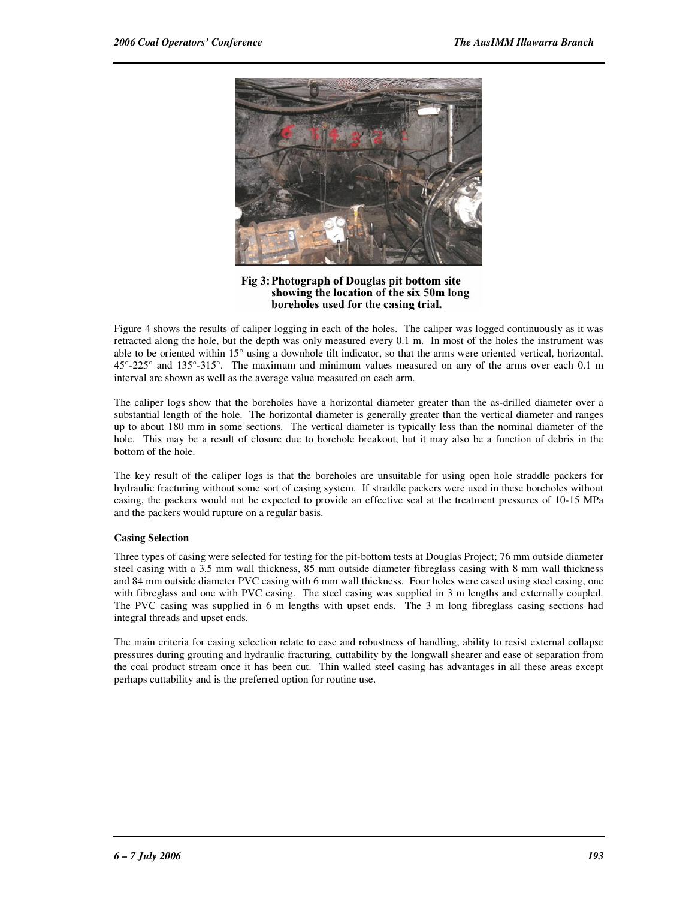

Fig 3: Photograph of Douglas pit bottom site showing the location of the six 50m long boreholes used for the casing trial.

Figure 4 shows the results of caliper logging in each of the holes. The caliper was logged continuously as it was retracted along the hole, but the depth was only measured every 0.1 m. In most of the holes the instrument was able to be oriented within 15° using a downhole tilt indicator, so that the arms were oriented vertical, horizontal, 45°-225° and 135°-315°. The maximum and minimum values measured on any of the arms over each 0.1 m interval are shown as well as the average value measured on each arm.

The caliper logs show that the boreholes have a horizontal diameter greater than the as-drilled diameter over a substantial length of the hole. The horizontal diameter is generally greater than the vertical diameter and ranges up to about 180 mm in some sections. The vertical diameter is typically less than the nominal diameter of the hole. This may be a result of closure due to borehole breakout, but it may also be a function of debris in the bottom of the hole.

The key result of the caliper logs is that the boreholes are unsuitable for using open hole straddle packers for hydraulic fracturing without some sort of casing system. If straddle packers were used in these boreholes without casing, the packers would not be expected to provide an effective seal at the treatment pressures of 10-15 MPa and the packers would rupture on a regular basis.

#### **Casing Selection**

Three types of casing were selected for testing for the pit-bottom tests at Douglas Project; 76 mm outside diameter steel casing with a 3.5 mm wall thickness, 85 mm outside diameter fibreglass casing with 8 mm wall thickness and 84 mm outside diameter PVC casing with 6 mm wall thickness. Four holes were cased using steel casing, one with fibreglass and one with PVC casing. The steel casing was supplied in 3 m lengths and externally coupled. The PVC casing was supplied in 6 m lengths with upset ends. The 3 m long fibreglass casing sections had integral threads and upset ends.

The main criteria for casing selection relate to ease and robustness of handling, ability to resist external collapse pressures during grouting and hydraulic fracturing, cuttability by the longwall shearer and ease of separation from the coal product stream once it has been cut. Thin walled steel casing has advantages in all these areas except perhaps cuttability and is the preferred option for routine use.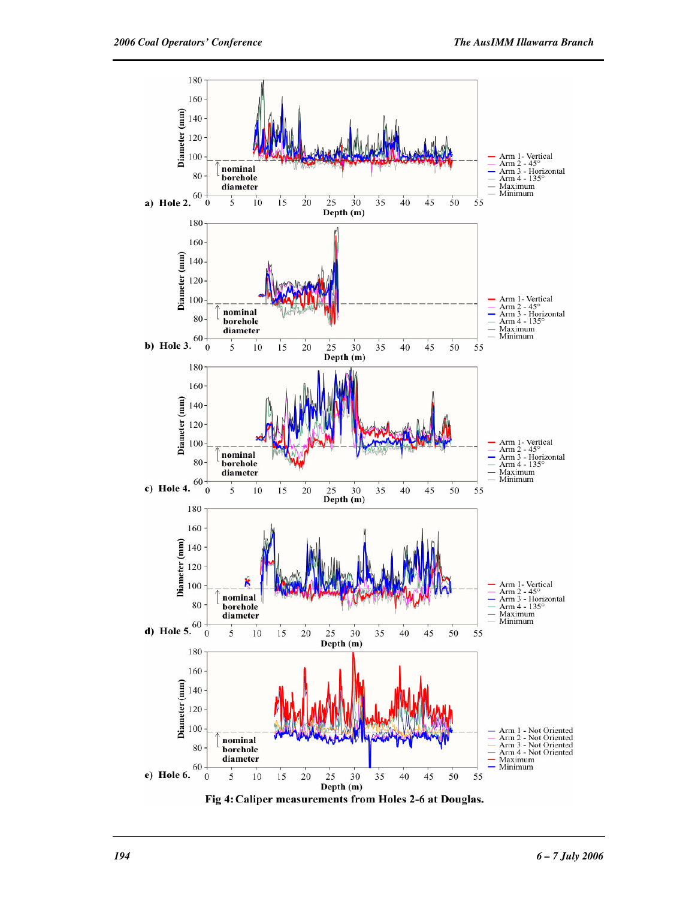

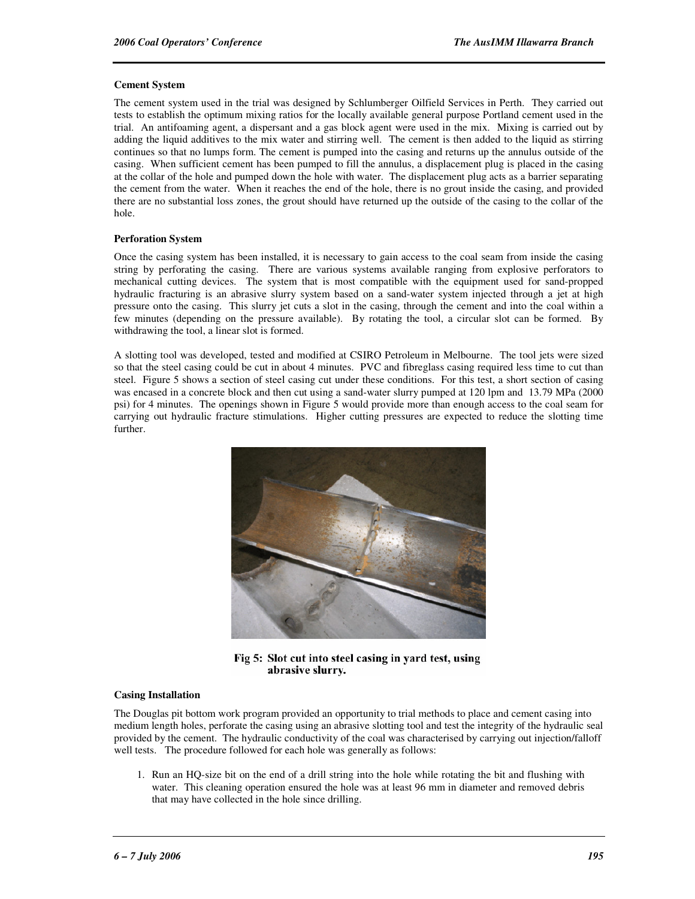#### **Cement System**

The cement system used in the trial was designed by Schlumberger Oilfield Services in Perth. They carried out tests to establish the optimum mixing ratios for the locally available general purpose Portland cement used in the trial. An antifoaming agent, a dispersant and a gas block agent were used in the mix. Mixing is carried out by adding the liquid additives to the mix water and stirring well. The cement is then added to the liquid as stirring continues so that no lumps form. The cement is pumped into the casing and returns up the annulus outside of the casing. When sufficient cement has been pumped to fill the annulus, a displacement plug is placed in the casing at the collar of the hole and pumped down the hole with water. The displacement plug acts as a barrier separating the cement from the water. When it reaches the end of the hole, there is no grout inside the casing, and provided there are no substantial loss zones, the grout should have returned up the outside of the casing to the collar of the hole.

#### **Perforation System**

Once the casing system has been installed, it is necessary to gain access to the coal seam from inside the casing string by perforating the casing. There are various systems available ranging from explosive perforators to mechanical cutting devices. The system that is most compatible with the equipment used for sand-propped hydraulic fracturing is an abrasive slurry system based on a sand-water system injected through a jet at high pressure onto the casing. This slurry jet cuts a slot in the casing, through the cement and into the coal within a few minutes (depending on the pressure available). By rotating the tool, a circular slot can be formed. By withdrawing the tool, a linear slot is formed.

A slotting tool was developed, tested and modified at CSIRO Petroleum in Melbourne. The tool jets were sized so that the steel casing could be cut in about 4 minutes. PVC and fibreglass casing required less time to cut than steel. Figure 5 shows a section of steel casing cut under these conditions. For this test, a short section of casing was encased in a concrete block and then cut using a sand-water slurry pumped at 120 lpm and 13.79 MPa (2000 psi) for 4 minutes. The openings shown in Figure 5 would provide more than enough access to the coal seam for carrying out hydraulic fracture stimulations. Higher cutting pressures are expected to reduce the slotting time further.



Fig 5: Slot cut into steel casing in yard test, using abrasive slurry.

#### **Casing Installation**

The Douglas pit bottom work program provided an opportunity to trial methods to place and cement casing into medium length holes, perforate the casing using an abrasive slotting tool and test the integrity of the hydraulic seal provided by the cement. The hydraulic conductivity of the coal was characterised by carrying out injection/falloff well tests. The procedure followed for each hole was generally as follows:

1. Run an HQ-size bit on the end of a drill string into the hole while rotating the bit and flushing with water. This cleaning operation ensured the hole was at least 96 mm in diameter and removed debris that may have collected in the hole since drilling.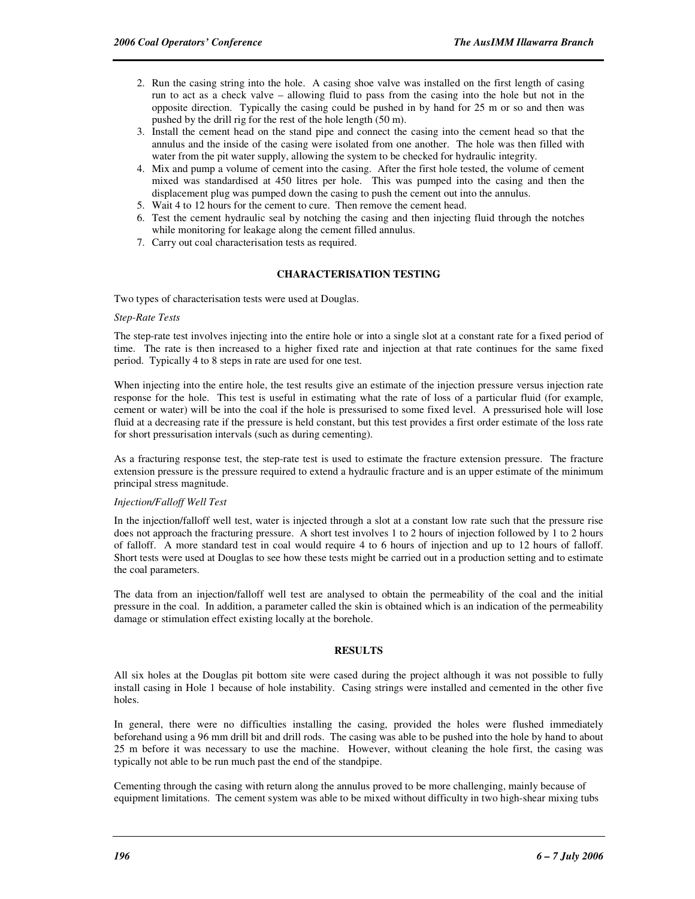- 2. Run the casing string into the hole. A casing shoe valve was installed on the first length of casing run to act as a check valve – allowing fluid to pass from the casing into the hole but not in the opposite direction. Typically the casing could be pushed in by hand for 25 m or so and then was pushed by the drill rig for the rest of the hole length (50 m).
- 3. Install the cement head on the stand pipe and connect the casing into the cement head so that the annulus and the inside of the casing were isolated from one another. The hole was then filled with water from the pit water supply, allowing the system to be checked for hydraulic integrity.
- 4. Mix and pump a volume of cement into the casing. After the first hole tested, the volume of cement mixed was standardised at 450 litres per hole. This was pumped into the casing and then the displacement plug was pumped down the casing to push the cement out into the annulus.
- 5. Wait 4 to 12 hours for the cement to cure. Then remove the cement head.
- 6. Test the cement hydraulic seal by notching the casing and then injecting fluid through the notches while monitoring for leakage along the cement filled annulus.
- 7. Carry out coal characterisation tests as required.

#### **CHARACTERISATION TESTING**

Two types of characterisation tests were used at Douglas.

#### *Step-Rate Tests*

The step-rate test involves injecting into the entire hole or into a single slot at a constant rate for a fixed period of time. The rate is then increased to a higher fixed rate and injection at that rate continues for the same fixed period. Typically 4 to 8 steps in rate are used for one test.

When injecting into the entire hole, the test results give an estimate of the injection pressure versus injection rate response for the hole. This test is useful in estimating what the rate of loss of a particular fluid (for example, cement or water) will be into the coal if the hole is pressurised to some fixed level. A pressurised hole will lose fluid at a decreasing rate if the pressure is held constant, but this test provides a first order estimate of the loss rate for short pressurisation intervals (such as during cementing).

As a fracturing response test, the step-rate test is used to estimate the fracture extension pressure. The fracture extension pressure is the pressure required to extend a hydraulic fracture and is an upper estimate of the minimum principal stress magnitude.

#### *Injection/Falloff Well Test*

In the injection/falloff well test, water is injected through a slot at a constant low rate such that the pressure rise does not approach the fracturing pressure. A short test involves 1 to 2 hours of injection followed by 1 to 2 hours of falloff. A more standard test in coal would require 4 to 6 hours of injection and up to 12 hours of falloff. Short tests were used at Douglas to see how these tests might be carried out in a production setting and to estimate the coal parameters.

The data from an injection/falloff well test are analysed to obtain the permeability of the coal and the initial pressure in the coal. In addition, a parameter called the skin is obtained which is an indication of the permeability damage or stimulation effect existing locally at the borehole.

#### **RESULTS**

All six holes at the Douglas pit bottom site were cased during the project although it was not possible to fully install casing in Hole 1 because of hole instability. Casing strings were installed and cemented in the other five holes.

In general, there were no difficulties installing the casing, provided the holes were flushed immediately beforehand using a 96 mm drill bit and drill rods. The casing was able to be pushed into the hole by hand to about 25 m before it was necessary to use the machine. However, without cleaning the hole first, the casing was typically not able to be run much past the end of the standpipe.

Cementing through the casing with return along the annulus proved to be more challenging, mainly because of equipment limitations. The cement system was able to be mixed without difficulty in two high-shear mixing tubs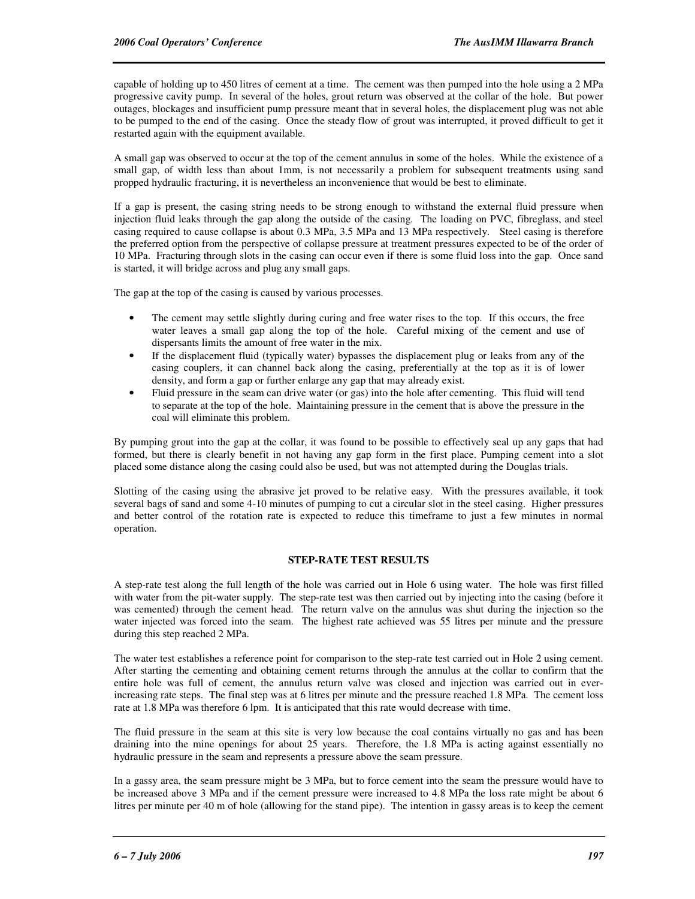capable of holding up to 450 litres of cement at a time. The cement was then pumped into the hole using a 2 MPa progressive cavity pump. In several of the holes, grout return was observed at the collar of the hole. But power outages, blockages and insufficient pump pressure meant that in several holes, the displacement plug was not able to be pumped to the end of the casing. Once the steady flow of grout was interrupted, it proved difficult to get it restarted again with the equipment available.

A small gap was observed to occur at the top of the cement annulus in some of the holes. While the existence of a small gap, of width less than about 1mm, is not necessarily a problem for subsequent treatments using sand propped hydraulic fracturing, it is nevertheless an inconvenience that would be best to eliminate.

If a gap is present, the casing string needs to be strong enough to withstand the external fluid pressure when injection fluid leaks through the gap along the outside of the casing. The loading on PVC, fibreglass, and steel casing required to cause collapse is about 0.3 MPa, 3.5 MPa and 13 MPa respectively. Steel casing is therefore the preferred option from the perspective of collapse pressure at treatment pressures expected to be of the order of 10 MPa. Fracturing through slots in the casing can occur even if there is some fluid loss into the gap. Once sand is started, it will bridge across and plug any small gaps.

The gap at the top of the casing is caused by various processes.

- The cement may settle slightly during curing and free water rises to the top. If this occurs, the free water leaves a small gap along the top of the hole. Careful mixing of the cement and use of dispersants limits the amount of free water in the mix.
- If the displacement fluid (typically water) bypasses the displacement plug or leaks from any of the casing couplers, it can channel back along the casing, preferentially at the top as it is of lower density, and form a gap or further enlarge any gap that may already exist.
- Fluid pressure in the seam can drive water (or gas) into the hole after cementing. This fluid will tend to separate at the top of the hole. Maintaining pressure in the cement that is above the pressure in the coal will eliminate this problem.

By pumping grout into the gap at the collar, it was found to be possible to effectively seal up any gaps that had formed, but there is clearly benefit in not having any gap form in the first place. Pumping cement into a slot placed some distance along the casing could also be used, but was not attempted during the Douglas trials.

Slotting of the casing using the abrasive jet proved to be relative easy. With the pressures available, it took several bags of sand and some 4-10 minutes of pumping to cut a circular slot in the steel casing. Higher pressures and better control of the rotation rate is expected to reduce this timeframe to just a few minutes in normal operation.

### **STEP-RATE TEST RESULTS**

A step-rate test along the full length of the hole was carried out in Hole 6 using water. The hole was first filled with water from the pit-water supply. The step-rate test was then carried out by injecting into the casing (before it was cemented) through the cement head. The return valve on the annulus was shut during the injection so the water injected was forced into the seam. The highest rate achieved was 55 litres per minute and the pressure during this step reached 2 MPa.

The water test establishes a reference point for comparison to the step-rate test carried out in Hole 2 using cement. After starting the cementing and obtaining cement returns through the annulus at the collar to confirm that the entire hole was full of cement, the annulus return valve was closed and injection was carried out in everincreasing rate steps. The final step was at 6 litres per minute and the pressure reached 1.8 MPa. The cement loss rate at 1.8 MPa was therefore 6 lpm. It is anticipated that this rate would decrease with time.

The fluid pressure in the seam at this site is very low because the coal contains virtually no gas and has been draining into the mine openings for about 25 years. Therefore, the 1.8 MPa is acting against essentially no hydraulic pressure in the seam and represents a pressure above the seam pressure.

In a gassy area, the seam pressure might be 3 MPa, but to force cement into the seam the pressure would have to be increased above 3 MPa and if the cement pressure were increased to 4.8 MPa the loss rate might be about 6 litres per minute per 40 m of hole (allowing for the stand pipe). The intention in gassy areas is to keep the cement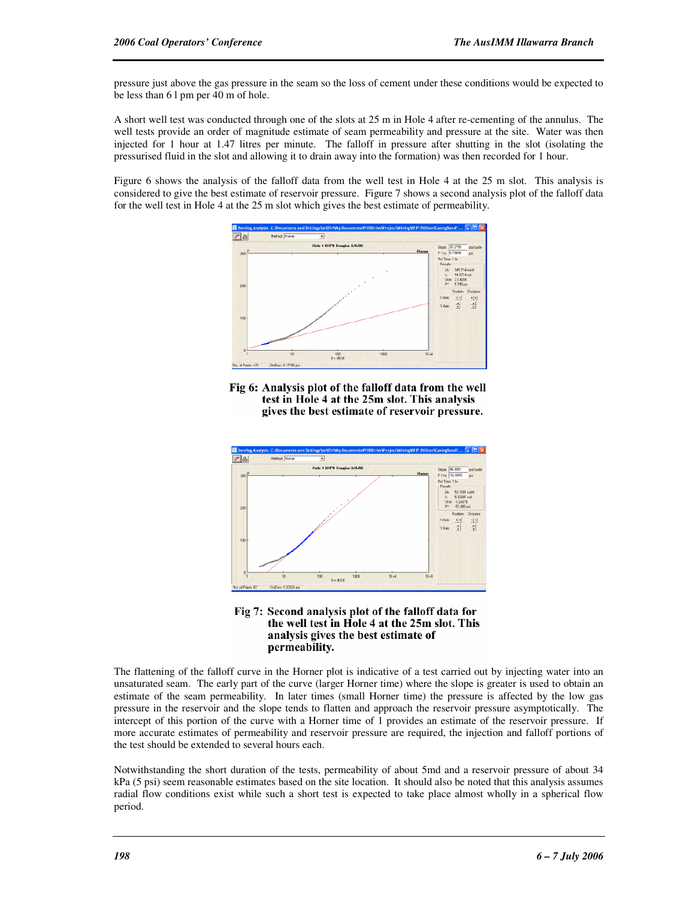pressure just above the gas pressure in the seam so the loss of cement under these conditions would be expected to be less than 6 l pm per 40 m of hole.

A short well test was conducted through one of the slots at 25 m in Hole 4 after re-cementing of the annulus. The well tests provide an order of magnitude estimate of seam permeability and pressure at the site. Water was then injected for 1 hour at 1.47 litres per minute. The falloff in pressure after shutting in the slot (isolating the pressurised fluid in the slot and allowing it to drain away into the formation) was then recorded for 1 hour.

Figure 6 shows the analysis of the falloff data from the well test in Hole 4 at the 25 m slot. This analysis is considered to give the best estimate of reservoir pressure. Figure 7 shows a second analysis plot of the falloff data for the well test in Hole 4 at the 25 m slot which gives the best estimate of permeability.



Fig 6: Analysis plot of the falloff data from the well test in Hole 4 at the 25m slot. This analysis gives the best estimate of reservoir pressure.





The flattening of the falloff curve in the Horner plot is indicative of a test carried out by injecting water into an unsaturated seam. The early part of the curve (larger Horner time) where the slope is greater is used to obtain an estimate of the seam permeability. In later times (small Horner time) the pressure is affected by the low gas pressure in the reservoir and the slope tends to flatten and approach the reservoir pressure asymptotically. The intercept of this portion of the curve with a Horner time of 1 provides an estimate of the reservoir pressure. If more accurate estimates of permeability and reservoir pressure are required, the injection and falloff portions of the test should be extended to several hours each.

Notwithstanding the short duration of the tests, permeability of about 5md and a reservoir pressure of about 34 kPa (5 psi) seem reasonable estimates based on the site location. It should also be noted that this analysis assumes radial flow conditions exist while such a short test is expected to take place almost wholly in a spherical flow period.